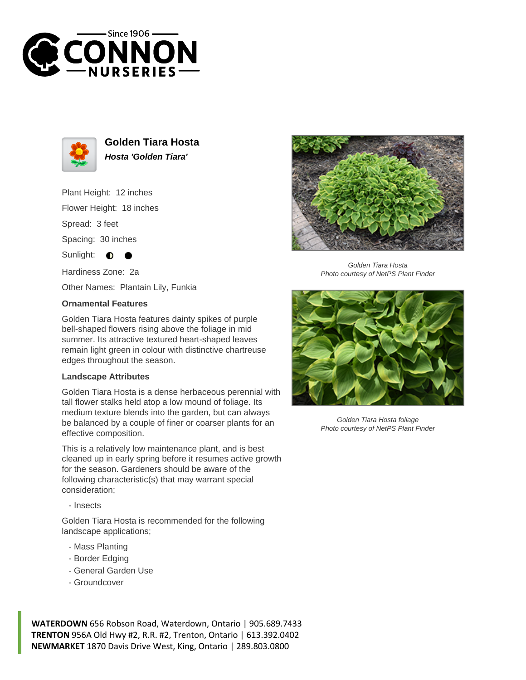



**Golden Tiara Hosta Hosta 'Golden Tiara'**

Plant Height: 12 inches Flower Height: 18 inches

Spread: 3 feet

Spacing: 30 inches

Sunlight:  $\bullet$ 

Hardiness Zone: 2a

Other Names: Plantain Lily, Funkia

## **Ornamental Features**

Golden Tiara Hosta features dainty spikes of purple bell-shaped flowers rising above the foliage in mid summer. Its attractive textured heart-shaped leaves remain light green in colour with distinctive chartreuse edges throughout the season.

## **Landscape Attributes**

Golden Tiara Hosta is a dense herbaceous perennial with tall flower stalks held atop a low mound of foliage. Its medium texture blends into the garden, but can always be balanced by a couple of finer or coarser plants for an effective composition.

This is a relatively low maintenance plant, and is best cleaned up in early spring before it resumes active growth for the season. Gardeners should be aware of the following characteristic(s) that may warrant special consideration;

- Insects

Golden Tiara Hosta is recommended for the following landscape applications;

- Mass Planting
- Border Edging
- General Garden Use
- Groundcover

**WATERDOWN** 656 Robson Road, Waterdown, Ontario | 905.689.7433 **TRENTON** 956A Old Hwy #2, R.R. #2, Trenton, Ontario | 613.392.0402 **NEWMARKET** 1870 Davis Drive West, King, Ontario | 289.803.0800



Golden Tiara Hosta Photo courtesy of NetPS Plant Finder



Golden Tiara Hosta foliage Photo courtesy of NetPS Plant Finder